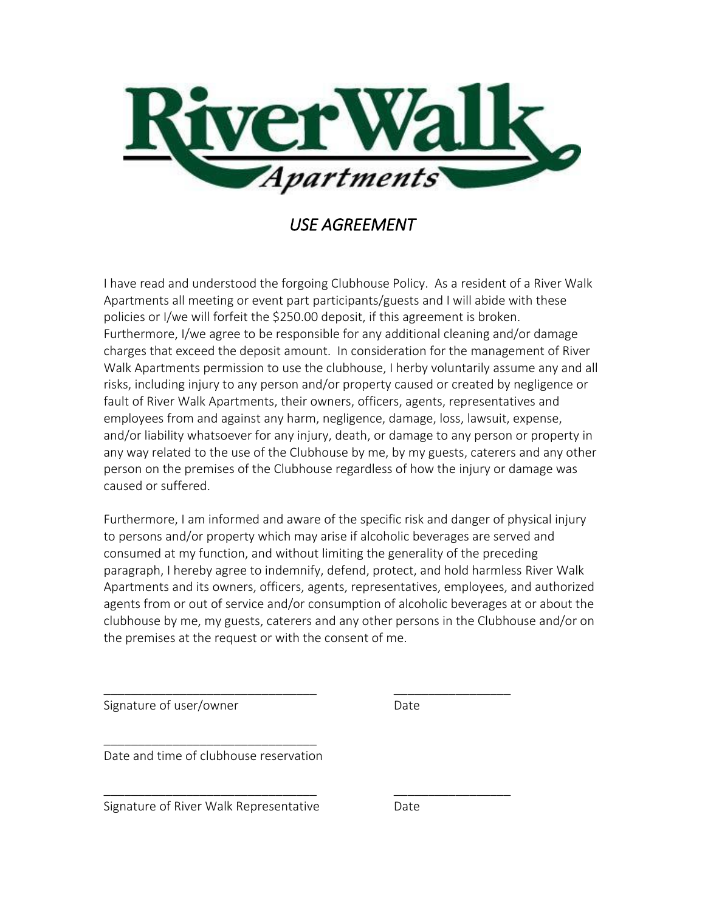

## *USE AGREEMENT*

I have read and understood the forgoing Clubhouse Policy. As a resident of a River Walk Apartments all meeting or event part participants/guests and I will abide with these policies or I/we will forfeit the \$250.00 deposit, if this agreement is broken. Furthermore, I/we agree to be responsible for any additional cleaning and/or damage charges that exceed the deposit amount. In consideration for the management of River Walk Apartments permission to use the clubhouse, I herby voluntarily assume any and all risks, including injury to any person and/or property caused or created by negligence or fault of River Walk Apartments, their owners, officers, agents, representatives and employees from and against any harm, negligence, damage, loss, lawsuit, expense, and/or liability whatsoever for any injury, death, or damage to any person or property in any way related to the use of the Clubhouse by me, by my guests, caterers and any other person on the premises of the Clubhouse regardless of how the injury or damage was caused or suffered.

Furthermore, I am informed and aware of the specific risk and danger of physical injury to persons and/or property which may arise if alcoholic beverages are served and consumed at my function, and without limiting the generality of the preceding paragraph, I hereby agree to indemnify, defend, protect, and hold harmless River Walk Apartments and its owners, officers, agents, representatives, employees, and authorized agents from or out of service and/or consumption of alcoholic beverages at or about the clubhouse by me, my guests, caterers and any other persons in the Clubhouse and/or on the premises at the request or with the consent of me.

\_\_\_\_\_\_\_\_\_\_\_\_\_\_\_\_\_\_\_\_\_\_\_\_\_\_\_\_\_\_\_ \_\_\_\_\_\_\_\_\_\_\_\_\_\_\_\_\_ Signature of user/owner and the Date \_\_\_\_\_\_\_\_\_\_\_\_\_\_\_\_\_\_\_\_\_\_\_\_\_\_\_\_\_\_\_ Date and time of clubhouse reservation \_\_\_\_\_\_\_\_\_\_\_\_\_\_\_\_\_\_\_\_\_\_\_\_\_\_\_\_\_\_\_ \_\_\_\_\_\_\_\_\_\_\_\_\_\_\_\_\_ Signature of River Walk Representative Date